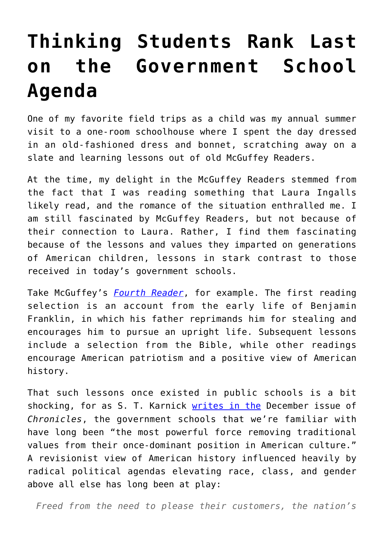## **[Thinking Students Rank Last](https://intellectualtakeout.org/2020/12/thinking-students-rank-last-on-the-government-school-agenda/) [on the Government School](https://intellectualtakeout.org/2020/12/thinking-students-rank-last-on-the-government-school-agenda/) [Agenda](https://intellectualtakeout.org/2020/12/thinking-students-rank-last-on-the-government-school-agenda/)**

One of my favorite field trips as a child was my annual summer visit to a one-room schoolhouse where I spent the day dressed in an old-fashioned dress and bonnet, scratching away on a slate and learning lessons out of old McGuffey Readers.

At the time, my delight in the McGuffey Readers stemmed from the fact that I was reading something that Laura Ingalls likely read, and the romance of the situation enthralled me. I am still fascinated by McGuffey Readers, but not because of their connection to Laura. Rather, I find them fascinating because of the lessons and values they imparted on generations of American children, lessons in stark contrast to those received in today's government schools.

Take McGuffey's *[Fourth Reader](https://archive.org/details/newmcguffeyfourt00mcgu/page/6/mode/2up?q=oaken)*, for example. The first reading selection is an account from the early life of Benjamin Franklin, in which his father reprimands him for stealing and encourages him to pursue an upright life. Subsequent lessons include a selection from the Bible, while other readings encourage American patriotism and a positive view of American history.

That such lessons once existed in public schools is a bit shocking, for as S. T. Karnick [writes in the](https://www.chroniclesmagazine.org/the-state-versus-the-american-culture/) December issue of *Chronicles*, the government schools that we're familiar with have long been "the most powerful force removing traditional values from their once-dominant position in American culture." A revisionist view of American history influenced heavily by radical political agendas elevating race, class, and gender above all else has long been at play:

*Freed from the need to please their customers, the nation's*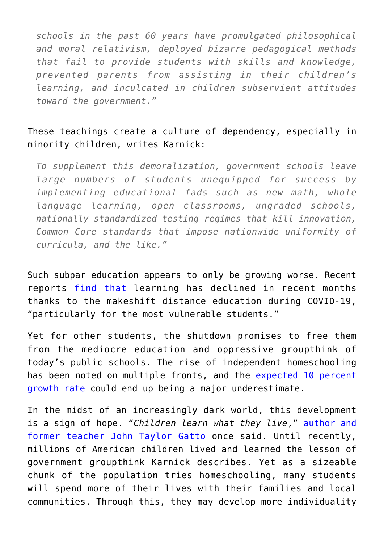*schools in the past 60 years have promulgated philosophical and moral relativism, deployed bizarre pedagogical methods that fail to provide students with skills and knowledge, prevented parents from assisting in their children's learning, and inculcated in children subservient attitudes toward the government."*

## These teachings create a culture of dependency, especially in minority children, writes Karnick:

*To supplement this demoralization, government schools leave large numbers of students unequipped for success by implementing educational fads such as new math, whole language learning, open classrooms, ungraded schools, nationally standardized testing regimes that kill innovation, Common Core standards that impose nationwide uniformity of curricula, and the like."* 

Such subpar education appears to only be growing worse. Recent reports [find that](https://www.washingtonpost.com/education/students-falling-behind/2020/12/06/88d7157a-3665-11eb-8d38-6aea1adb3839_story.html) learning has declined in recent months thanks to the makeshift distance education during COVID-19, "particularly for the most vulnerable students."

Yet for other students, the shutdown promises to free them from the mediocre education and oppressive groupthink of today's public schools. The rise of independent homeschooling has been noted on multiple fronts, and the [expected 10 percent](https://www.nheri.org/big-growth-in-homeschooling-indicated-this-school-year/#:~:text=Summary%3A%20Big%20Growth%20in%20Homeschooling,years%20(Ray%2C%202020).&text=If%2010%20percent%20materializes%2C%20that,homeschool%20students%20during%202020%2D2021.) [growth rate](https://www.nheri.org/big-growth-in-homeschooling-indicated-this-school-year/#:~:text=Summary%3A%20Big%20Growth%20in%20Homeschooling,years%20(Ray%2C%202020).&text=If%2010%20percent%20materializes%2C%20that,homeschool%20students%20during%202020%2D2021.) could end up being a major underestimate.

In the midst of an increasingly dark world, this development is a sign of hope. "*Children learn what they live*," [author and](https://www.amazon.com/gp/product/0865718547/ref=as_li_qf_asin_il_tl?ie=UTF8&tag=intelltakeo0d-20&creative=9325&linkCode=as2&creativeASIN=0865718547&linkId=80865c11e3cd6a92873d5d3cf6c3f470) [former teacher John Taylor Gatto](https://www.amazon.com/gp/product/0865718547/ref=as_li_qf_asin_il_tl?ie=UTF8&tag=intelltakeo0d-20&creative=9325&linkCode=as2&creativeASIN=0865718547&linkId=80865c11e3cd6a92873d5d3cf6c3f470) once said. Until recently, millions of American children lived and learned the lesson of government groupthink Karnick describes. Yet as a sizeable chunk of the population tries homeschooling, many students will spend more of their lives with their families and local communities. Through this, they may develop more individuality